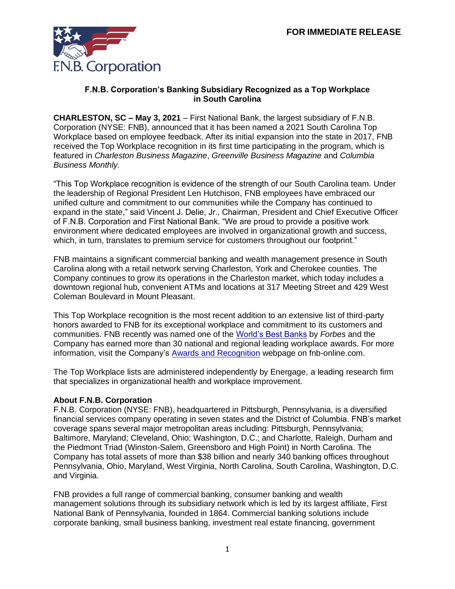

## **F.N.B. Corporation's Banking Subsidiary Recognized as a Top Workplace in South Carolina**

**CHARLESTON, SC – May 3, 2021** – First National Bank, the largest subsidiary of F.N.B. Corporation (NYSE: FNB), announced that it has been named a 2021 South Carolina Top Workplace based on employee feedback. After its initial expansion into the state in 2017, FNB received the Top Workplace recognition in its first time participating in the program, which is featured in *Charleston Business Magazine*, *Greenville Business Magazine* and *Columbia Business Monthly.*

"This Top Workplace recognition is evidence of the strength of our South Carolina team. Under the leadership of Regional President Len Hutchison, FNB employees have embraced our unified culture and commitment to our communities while the Company has continued to expand in the state," said Vincent J. Delie, Jr., Chairman, President and Chief Executive Officer of F.N.B. Corporation and First National Bank. "We are proud to provide a positive work environment where dedicated employees are involved in organizational growth and success, which, in turn, translates to premium service for customers throughout our footprint."

FNB maintains a significant commercial banking and wealth management presence in South Carolina along with a retail network serving Charleston, York and Cherokee counties. The Company continues to grow its operations in the Charleston market, which today includes a downtown regional hub, convenient ATMs and locations at 317 Meeting Street and 429 West Coleman Boulevard in Mount Pleasant.

This Top Workplace recognition is the most recent addition to an extensive list of third-party honors awarded to FNB for its exceptional workplace and commitment to its customers and communities. FNB recently was named one of the [World's Best Banks](https://www.fnb-online.com/about-us/newsroom/press-releases/2021/first-national-bank-named-one-of-the-worlds-best-banks-by-forbes-041521) by *Forbes* and the Company has earned more than 30 national and regional leading workplace awards. For more information, visit the Company's [Awards and Recognition](https://www.fnb-online.com/about-us/newsroom/awards-and-recognition) webpage on fnb-online.com.

The Top Workplace lists are administered independently by Energage, a leading research firm that specializes in organizational health and workplace improvement.

## **About F.N.B. Corporation**

F.N.B. Corporation (NYSE: FNB), headquartered in Pittsburgh, Pennsylvania, is a diversified financial services company operating in seven states and the District of Columbia. FNB's market coverage spans several major metropolitan areas including: Pittsburgh, Pennsylvania; Baltimore, Maryland; Cleveland, Ohio; Washington, D.C.; and Charlotte, Raleigh, Durham and the Piedmont Triad (Winston-Salem, Greensboro and High Point) in North Carolina. The Company has total assets of more than \$38 billion and nearly 340 banking offices throughout Pennsylvania, Ohio, Maryland, West Virginia, North Carolina, South Carolina, Washington, D.C. and Virginia.

FNB provides a full range of commercial banking, consumer banking and wealth management solutions through its subsidiary network which is led by its largest affiliate, First National Bank of Pennsylvania, founded in 1864. Commercial banking solutions include corporate banking, small business banking, investment real estate financing, government